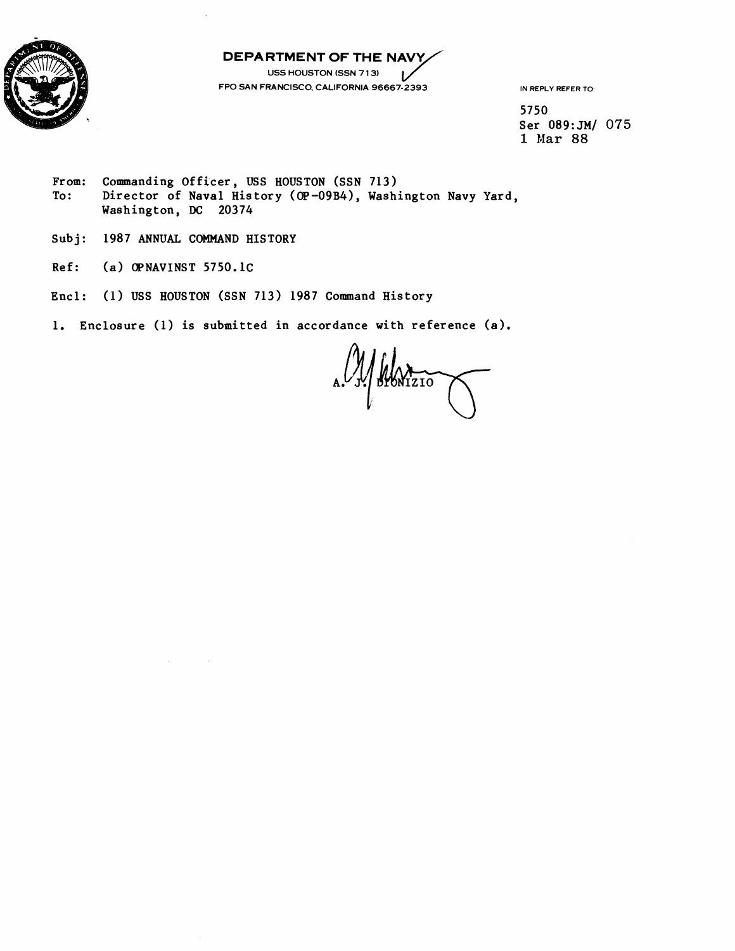



**USS HOUSTON (SSN 7 1 3)**   $\overline{L}$ **FPO SAN FRANCISCO. CALIFORNIA 96667-2393** 

**IN REPLY REFER TO:** 

**5750**  Ser 089:JM/ 075 **1 Mar 88** 

- From: Commanding Officer, USS HOUSTON (SSN 713)<br>To: Director of Naval History (OP-09B4), Washi **To: Director of Naval His tory (OP-09B4), Washington Navy Yard, Washington, DC 20374**
- **Subj: 1987 ANNUAL COMMAND HISTORY**
- **Ref: (a) OPNAVINST 5750.1C**
- **Encl:** (1) **USS HOUSTON (SSN 713) 1987 Command History**
- **1. Enclosure (1) is submitted in accordance with reference (a).**

BRATIZIO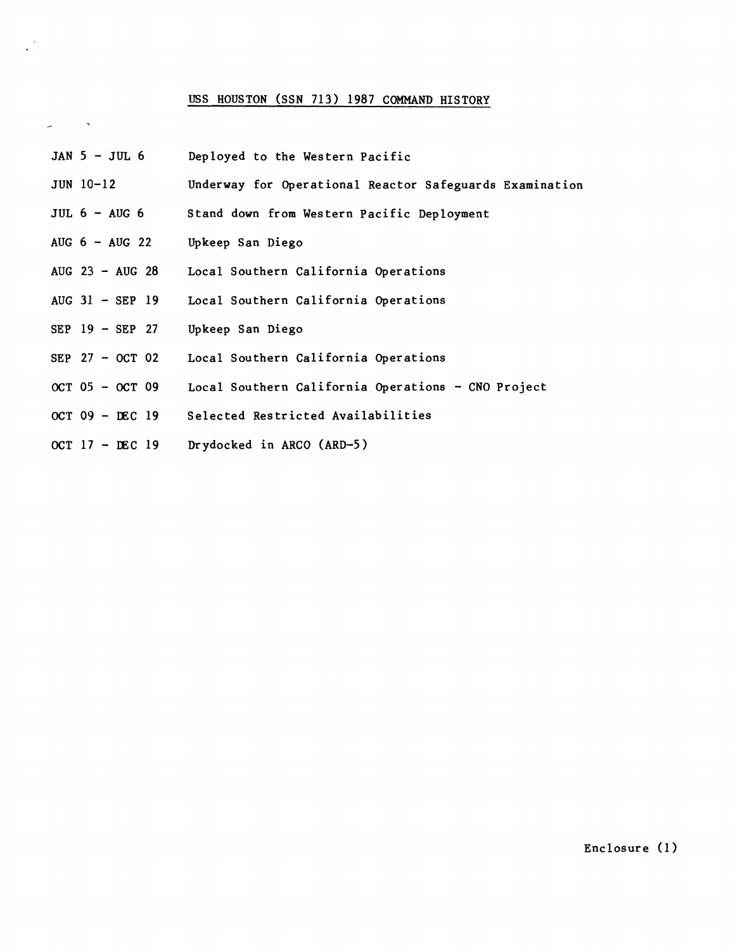## USS HOUSTON (SSN 713) 1987 COMMAND HISTORY

"

JAN 5 - JUL 6 JUN 10-12 JUL  $6 - \text{AUG } 6$ AUG  $6 - \text{AUG} 22$ AUG 23 - AUG 28 AUG 31. - SEP 19 SEP 19 - SEP 27 SEP 27 - OCT 02  $OCT 05 - OCT 09$ OCT  $09 - DEC$  19 OCT  $17$  - DEC 19 Deployed to the Western Pacific Underway for Operational Reactor Safeguards Examination Stand down from Western Pacific Deployment Upkeep San Diego Local Southern California Operations Local Southern California Operations Upkeep San Diego Local Southern California Operations Local Southern California Operations - CNO Project Selected Restricted Availabilities Drydocked in ARC0 (ARD-5 )